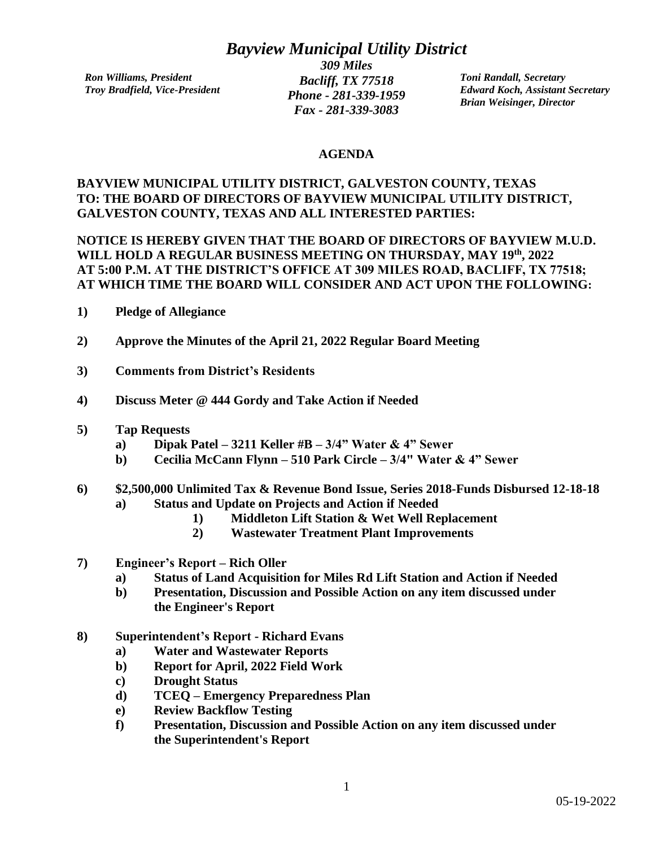## *Bayview Municipal Utility District*

*Ron Williams, President Troy Bradfield, Vice-President*

*309 Miles Bacliff, TX 77518 Phone - 281-339-1959 Fax - 281-339-3083*

*Toni Randall, Secretary Edward Koch, Assistant Secretary Brian Weisinger, Director*

#### **AGENDA**

### **BAYVIEW MUNICIPAL UTILITY DISTRICT, GALVESTON COUNTY, TEXAS TO: THE BOARD OF DIRECTORS OF BAYVIEW MUNICIPAL UTILITY DISTRICT, GALVESTON COUNTY, TEXAS AND ALL INTERESTED PARTIES:**

### **NOTICE IS HEREBY GIVEN THAT THE BOARD OF DIRECTORS OF BAYVIEW M.U.D. WILL HOLD A REGULAR BUSINESS MEETING ON THURSDAY, MAY 19th, 2022 AT 5:00 P.M. AT THE DISTRICT'S OFFICE AT 309 MILES ROAD, BACLIFF, TX 77518; AT WHICH TIME THE BOARD WILL CONSIDER AND ACT UPON THE FOLLOWING:**

- **1) Pledge of Allegiance**
- **2) Approve the Minutes of the April 21, 2022 Regular Board Meeting**
- **3) Comments from District's Residents**
- **4) Discuss Meter @ 444 Gordy and Take Action if Needed**
- **5) Tap Requests**
	- **a) Dipak Patel – 3211 Keller #B – 3/4" Water & 4" Sewer**
	- **b) Cecilia McCann Flynn – 510 Park Circle – 3/4" Water & 4" Sewer**

### **6) \$2,500,000 Unlimited Tax & Revenue Bond Issue, Series 2018-Funds Disbursed 12-18-18**

- **a) Status and Update on Projects and Action if Needed**
	- **1) Middleton Lift Station & Wet Well Replacement**
	- **2) Wastewater Treatment Plant Improvements**
- **7) Engineer's Report – Rich Oller**
	- **a) Status of Land Acquisition for Miles Rd Lift Station and Action if Needed**
	- **b) Presentation, Discussion and Possible Action on any item discussed under the Engineer's Report**
- **8) Superintendent's Report - Richard Evans**
	- **a) Water and Wastewater Reports**
	- **b) Report for April, 2022 Field Work**
	- **c) Drought Status**
	- **d) TCEQ – Emergency Preparedness Plan**
	- **e) Review Backflow Testing**
	- **f) Presentation, Discussion and Possible Action on any item discussed under the Superintendent's Report**